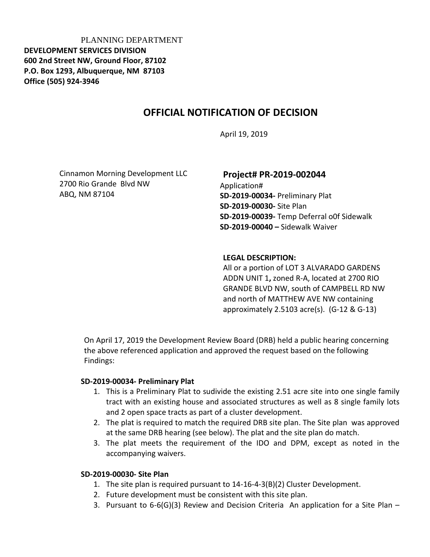PLANNING DEPARTMENT **DEVELOPMENT SERVICES DIVISION 600 2nd Street NW, Ground Floor, 87102 P.O. Box 1293, Albuquerque, NM 87103 Office (505) 924-3946** 

# **OFFICIAL NOTIFICATION OF DECISION**

April 19, 2019

Cinnamon Morning Development LLC 2700 Rio Grande Blvd NW ABQ, NM 87104

### **Project# PR-2019-002044**

Application# **SD-2019-00034-** Preliminary Plat **SD-2019-00030-** Site Plan **SD-2019-00039-** Temp Deferral o0f Sidewalk **SD-2019-00040 –** Sidewalk Waiver

#### **LEGAL DESCRIPTION:**

All or a portion of LOT 3 ALVARADO GARDENS ADDN UNIT 1**,** zoned R-A, located at 2700 RIO GRANDE BLVD NW, south of CAMPBELL RD NW and north of MATTHEW AVE NW containing approximately 2.5103 acre(s). (G-12 & G-13)

On April 17, 2019 the Development Review Board (DRB) held a public hearing concerning the above referenced application and approved the request based on the following Findings:

#### **SD-2019-00034- Preliminary Plat**

- 1. This is a Preliminary Plat to sudivide the existing 2.51 acre site into one single family tract with an existing house and associated structures as well as 8 single family lots and 2 open space tracts as part of a cluster development.
- 2. The plat is required to match the required DRB site plan. The Site plan was approved at the same DRB hearing (see below). The plat and the site plan do match.
- 3. The plat meets the requirement of the IDO and DPM, except as noted in the accompanying waivers.

### **SD-2019-00030- Site Plan**

- 1. The site plan is required pursuant to 14-16-4-3(B)(2) Cluster Development.
- 2. Future development must be consistent with this site plan.
- 3. Pursuant to  $6-6$ (G)(3) Review and Decision Criteria An application for a Site Plan –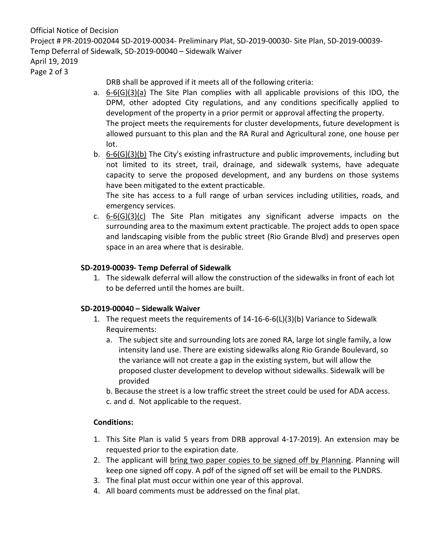Official Notice of Decision Project # PR-2019-002044 SD-2019-00034- Preliminary Plat, SD-2019-00030- Site Plan, SD-2019-00039- Temp Deferral of Sidewalk, SD-2019-00040 – Sidewalk Waiver April 19, 2019

Page 2 of 3

DRB shall be approved if it meets all of the following criteria:

- a. 6-6(G)(3)(a) The Site Plan complies with all applicable provisions of this IDO, the DPM, other adopted City regulations, and any conditions specifically applied to development of the property in a prior permit or approval affecting the property. The project meets the requirements for cluster developments, future development is allowed pursuant to this plan and the RA Rural and Agricultural zone, one house per lot.
- b. 6-6(G)(3)(b) The City's existing infrastructure and public improvements, including but not limited to its street, trail, drainage, and sidewalk systems, have adequate capacity to serve the proposed development, and any burdens on those systems have been mitigated to the extent practicable.

The site has access to a full range of urban services including utilities, roads, and emergency services.

c.  $6-6(G)(3)(c)$  The Site Plan mitigates any significant adverse impacts on the surrounding area to the maximum extent practicable. The project adds to open space and landscaping visible from the public street (Rio Grande Blvd) and preserves open space in an area where that is desirable.

## **SD-2019-00039- Temp Deferral of Sidewalk**

1. The sidewalk deferral will allow the construction of the sidewalks in front of each lot to be deferred until the homes are built.

## **SD-2019-00040 – Sidewalk Waiver**

- 1. The request meets the requirements of 14-16-6-6(L)(3)(b) Variance to Sidewalk Requirements:
	- a. The subject site and surrounding lots are zoned RA, large lot single family, a low intensity land use. There are existing sidewalks along Rio Grande Boulevard, so the variance will not create a gap in the existing system, but will allow the proposed cluster development to develop without sidewalks. Sidewalk will be provided

b. Because the street is a low traffic street the street could be used for ADA access. c. and d. Not applicable to the request.

## **Conditions:**

- 1. This Site Plan is valid 5 years from DRB approval 4-17-2019). An extension may be requested prior to the expiration date.
- 2. The applicant will bring two paper copies to be signed off by Planning. Planning will keep one signed off copy. A pdf of the signed off set will be email to the PLNDRS.
- 3. The final plat must occur within one year of this approval.
- 4. All board comments must be addressed on the final plat.